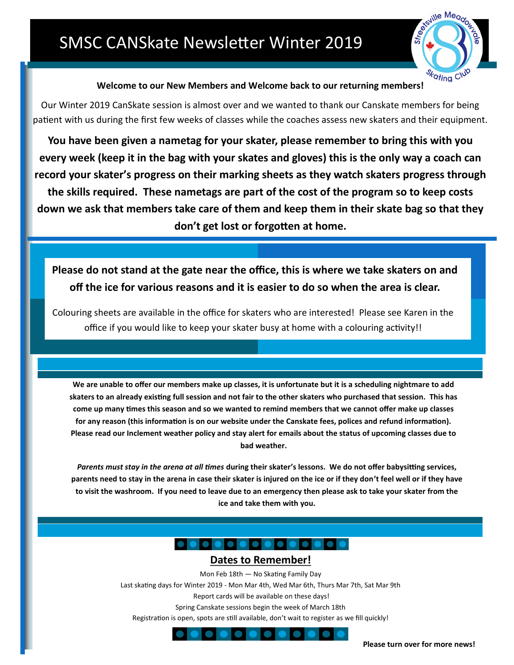

## **Welcome to our New Members and Welcome back to our returning members!**

Our Winter 2019 CanSkate session is almost over and we wanted to thank our Canskate members for being patient with us during the first few weeks of classes while the coaches assess new skaters and their equipment.

**You have been given a nametag for your skater, please remember to bring this with you every week (keep it in the bag with your skates and gloves) this is the only way a coach can record your skater's progress on their marking sheets as they watch skaters progress through the skills required. These nametags are part of the cost of the program so to keep costs down we ask that members take care of them and keep them in their skate bag so that they don't get lost or forgotten at home.** 

**Please do not stand at the gate near the office, this is where we take skaters on and off the ice for various reasons and it is easier to do so when the area is clear.**

Colouring sheets are available in the office for skaters who are interested! Please see Karen in the office if you would like to keep your skater busy at home with a colouring activity!!

**We are unable to offer our members make up classes, it is unfortunate but it is a scheduling nightmare to add skaters to an already existing full session and not fair to the other skaters who purchased that session. This has come up many times this season and so we wanted to remind members that we cannot offer make up classes for any reason (this information is on our website under the Canskate fees, polices and refund information). Please read our Inclement weather policy and stay alert for emails about the status of upcoming classes due to bad weather.**

*Parents must stay in the arena at all times* **during their skater's lessons. We do not offer babysitting services, parents need to stay in the arena in case their skater is injured on the ice or if they don't feel well or if they have to visit the washroom. If you need to leave due to an emergency then please ask to take your skater from the ice and take them with you.** 

# O O O O O O O O O O O O O

## **Dates to Remember!**

Mon Feb 18th — No Skating Family Day

Last skating days for Winter 2019 - Mon Mar 4th, Wed Mar 6th, Thurs Mar 7th, Sat Mar 9th

Report cards will be available on these days!

Spring Canskate sessions begin the week of March 18th

Registration is open, spots are still available, don't wait to register as we fill quickly!